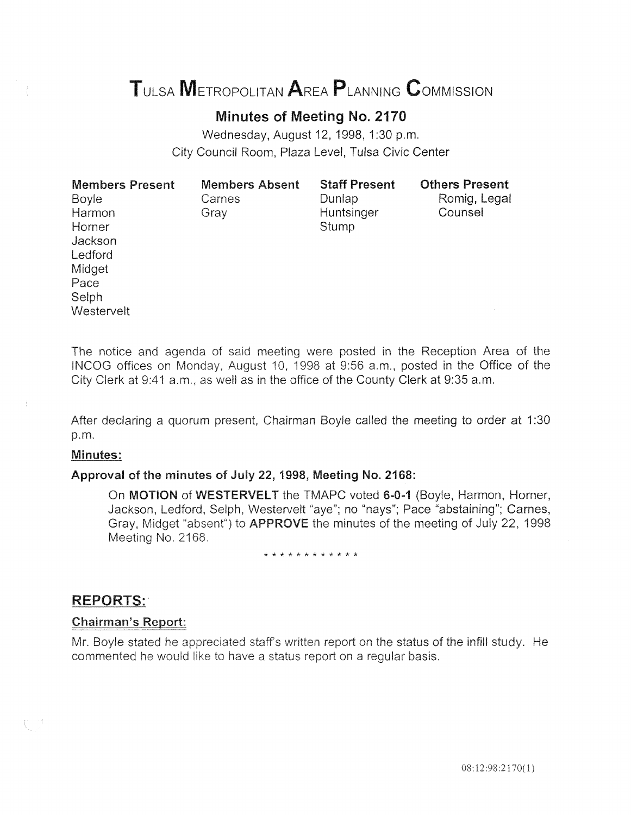# TULSA METROPOLITAN AREA PLANNING CoMMISSION

# Minutes of Meeting No. 2170

Wednesday, August 12, 1998, 1:30 p.m. City Council Room, Plaza Level, Tulsa Civic Center

| <b>Members Present</b> | <b>Members Absent</b> | <b>Staff Present</b> | <b>Others Present</b> |
|------------------------|-----------------------|----------------------|-----------------------|
| <b>Boyle</b>           | Carnes                | Dunlap               | Romig, Legal          |
| Harmon                 | Gray                  | Huntsinger           | Counsel               |
| Horner                 |                       | Stump                |                       |
| Jackson                |                       |                      |                       |
| Ledford                |                       |                      |                       |
| Midget                 |                       |                      |                       |
| Pace                   |                       |                      |                       |
| Selph                  |                       |                      |                       |
| Westervelt             |                       |                      |                       |

The notice and agenda of said meeting were posted in the Reception Area of the INCOG offices on Monday, August 10, 1998 at 9:56 a.m., posted in the Office of the City Clerk at 9:41 a.m., as well as in the office of the County Clerk at 9:35a.m.

After declaring a quorum present, Chairman Boyle called the meeting to order at 1:30 p.m.

#### Minutes:

#### Approval of the minutes of July 22, 1998, Meeting No. 2168:

On MOTION of WESTERVELT the TMAPC voted 6-0-1 (Boyle, Harmon, Horner, Jackson, Ledford, Selph, Westervelt "aye"; no "nays"; Pace "abstaining"; Carnes, Gray, Midget "absent") to **APPROVE** the minutes of the meeting of July 22, 1998 Meeting No. 2168.

#### \* \* \* \* \* \* \* \* \* \* \* \*

## **REPORTS:**

#### **Chairman's Report:**

Mr. Boyle stated he appreciated staff's written report on the status of the infill study. He commented he would like to have a status report on a regular basis.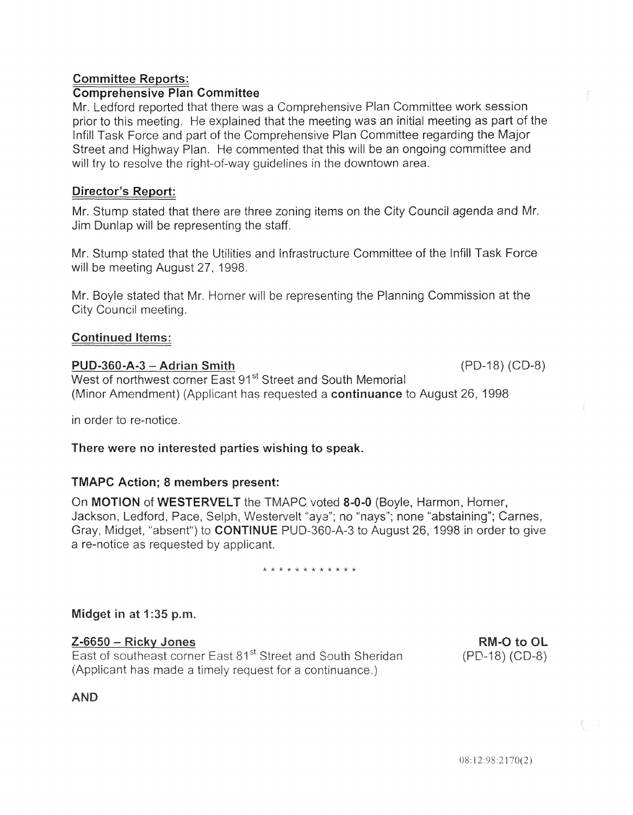## Committee Reports:

## Comprehensive Plan Committee

Mr. Ledford reported that there was a Comprehensive Plan Committee work session prior to this meeting. He explained that the meeting was an initial meeting as part of the lnfill Task Force and part of the Comprehensive Plan Committee regarding the Major Street and Highway Plan. He commented that this will be an ongoing committee and will try to resolve the right-of-way quidelines in the downtown area.

## Director's Report:

Mr. Stump stated that there are three zoning items on the City Council agenda and Mr*.* Jim Dunlap will be representing the staff.

Mr. Stump stated that the Utilities and Infrastructure Committee of the lnfill Task Force will be meeting August 27, 1998.

Mr. Boyle stated that Mr. Horner will be representing the Planning Commission at the City Council meeting.

## **Continued Items:**

## PUD-360-A-3- Adrian Smith 8)

West of northwest corner East 91<sup>st</sup> Street and South Memorial (Minor Amendment) (Applicant has requested a continuance to August 26, 1998

in order to re-notice.

## There were no interested parties wishing to speak.

## TMAPC Action; 8 members present:

On MOTION of WESTERVELT the TMAPC voted 8-0-0 (Boyle, Harmon, Horner, Jackson, Ledford, Pace, Selph, Westervelt "aye"; no "nays"; none "abstaining"; Carnes, Gray, Midget, "absent") to CONTINUE PUD-360-A-3 to August 26, 1998 in order to give a re-notice as requested by applicant.

\* \* \* \* \* \* \* \* \* \* \*

## Midget in at 1:35 p.m.

## $Z-6650 - RickV$  Jones

East of southeast corner East 81<sup>st</sup> Street and South Sheridan (Applicant has made a timely request for a continuance.)

RM-O to OL  $(PD-18) (CD-8)$ 

**AND**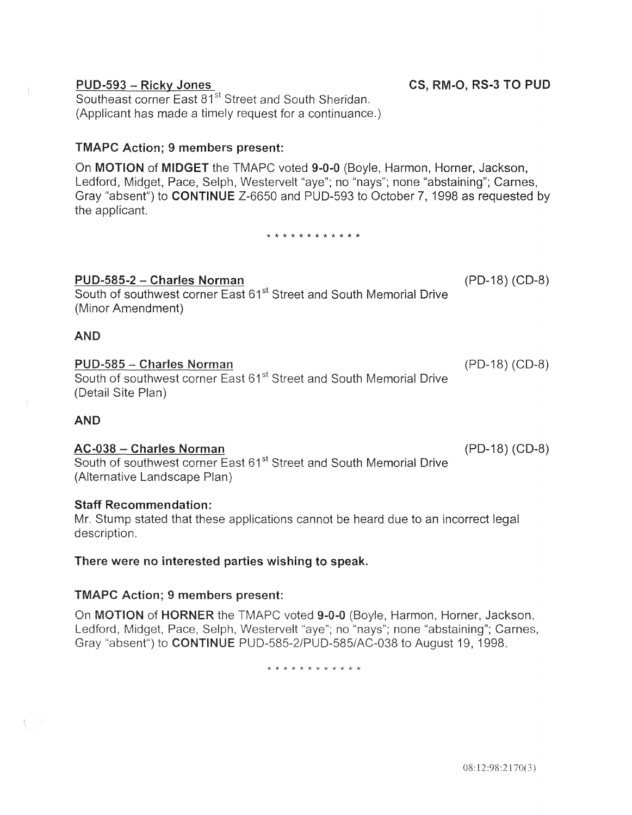#### PUD-593 - Ricky Jones Southeast corner East 81<sup>st</sup> Street and South Sheridan.

(Applicant has made a timely request for a continuance.)

## TMAPC Action; 9 members present:

On MOTION of MIDGET the TMAPC voted 9-0-0 (Boyle, Harmon, Horner, Jackson, Ledford, Midget, Pace, Selph, Westervelt "aye"; no "nays"; none "abstaining"; Carnes, Gray "absent") to CONTINUE Z-6650 and PUD-593 to October 7, 1998 as requested by the applicant.

\* \* \* \* \* \* \* \* \* \* \* \*

## PUD-585-2- Charles Norman (PD-18) (CD-8)

South of southwest corner East 61<sup>st</sup> Street and South Memorial Drive (Minor Amendment)

## AND

## PUD-585 - Charles Norman

South of southwest corner East 61<sup>st</sup> Street and South Memorial Drive (Detail Site Plan)

## AND

 $\int_{\mathbb{R}^3}$  and

## AC-038- Charles Norman (PD-18) (C0-8)

South of southwest corner East 61<sup>st</sup> Street and South Memorial Drive (Alternative Landscape Plan)

## Staff Recommendation:

Mr. Stump stated that these applications cannot be heard due to an incorrect legal description.

## There were no interested parties wishing to speak.

## TMAPC Action; 9 members present:

HORNER the TMAPC voted 9-0-0 (Boyle, Harmon, Horner, Jackson, , Midget, Pace, Selph, Westervelt "aye"; no "nays"; none "abstaining"; Carnes, bsent") to **CONTINUE** PUD-585-2/PUD-585/AC-038 to August 19, 1998.

\* \* \* \* \* \* \* \* \* \*

## CS, RM-0, RS-3 TO PUD

(PD-18) (CD-8)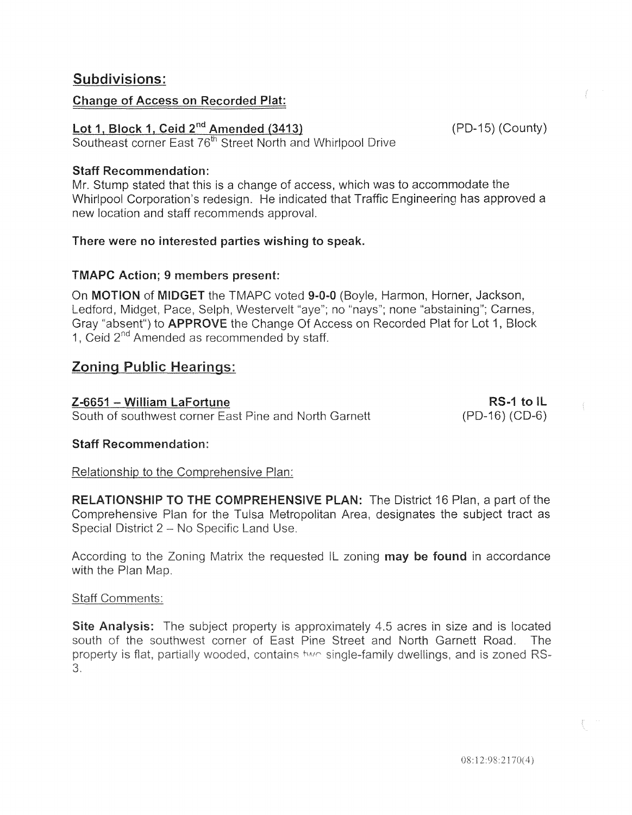# Subdivisions:

## Change of Access on Recorded Plat:

# Lot 1, Block 1, Ceid 2<sup>nd</sup> Amended (3413) (PD-15) (County)

Southeast corner East 76<sup>th</sup> Street North and Whirlpool Drive

## Staff Recommendation:

Mr. Stump stated that this is a change of access, which was to accommodate the Whirlpool Corporation's redesign. He indicated that Traffic Engineering has approved a new location and staff recommends approval.

## There were no interested parties wishing to speak.

## TMAPC Action; 9 members present:

On MOTION of MIDGET the TMAPC voted 9-0-0 (Boyle, Harmon, Horner, Jackson, Ledford, Midget, Pace, Selph, Westervelt "aye"; no "nays"; none "abstaining"; Carnes, Gray "absent") to **APPROVE** the Change Of Access on Recorded Plat for Lot 1, Block 1, Ceid  $2^{nd}$  Amended as recommended by staff.

# **Zoning Public Hearings:**

Z-6651 - William LaFortune South of southwest corner East Pine and North Garnett

RS-1 to IL  $(PD-16) (CD-6)$ 

## Staff Recommendation:

Relationship to the Comprehensive Plan:

RELATIONSHIP TO THE COMPREHENSIVE PLAN: The District 16 Plan, a part of the Comprehensive Plan for the Tulsa Metropolitan Area, designates the subject tract as Special District 2 - No Specific Land Use.

According to the Zoning Matrix the requested IL zoning may be found in accordance with the Plan Map.

## **Staff Comments:**

Site Analysis: The subject property is approximately 4.5 acres in size and is located south of the southwest corner of East Pine Street and North Garnett Road. The property is flat, partially wooded, contains two single-family dwellings, and is zoned RS- $3.$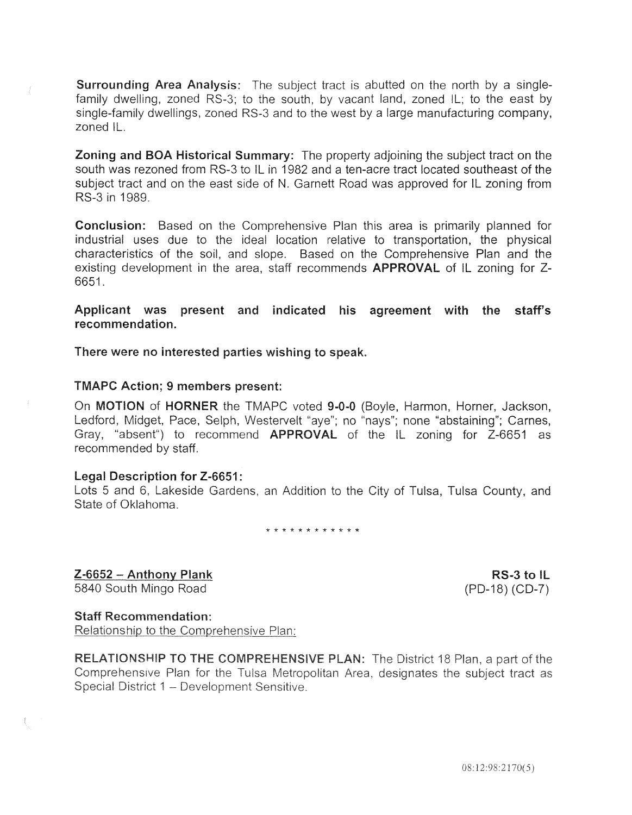Surrounding Area Analysis: The subject tract is abutted on the north by a singlefamily dwelling, zoned RS-3; to the south, by vacant land, zoned IL; to the east by single-family dwellings, zoned RS-3 and to the west by a large manufacturing company, zoned I

Zoning and BOA Historical Summary: The property adjoining the subject tract on the south was rezoned from RS-3 to IL in 1982 and a ten-acre tract located southeast of the subject tract and on the east side of N. Garnett Road was approved for IL zoning from RS-3 in 1989.

Conclusion: Based on the Comprehensive Plan this area is primarily planned for industrial uses due to the ideal location relative to transportation, the physical characteristics of the soil, and slope. Based on the Comprehensive Plan and the existing development in the area, staff recommends **APPROVAL** of IL zoning for Z-6651.

Applicant was present and indicated his agreement with the staff's recommendation.

There were no interested parties wishing to speak.

#### TMAPC Action; 9 members present:

On MOTION of HORNER the TMAPC voted 9-0-0 (Boyle, Harmon, Horner, Jackson, Ledford, Midget, Pace, Selph, Westervelt "aye"; no "nays"; none "abstaining"; Carnes, Gray, "absent") to recommend **APPROVAL** of the IL zoning for Z-6651 as recommended by staff.

#### Legal Description for Z-6651:

Lots 5 and 6, Lakeside Gardens, an Addition to the City of Tulsa, Tulsa County, and State of Oklahoma.

\* \* \* \* \* \* \* \* \* \* \* \*

 $Z-6652$  - Anthony Plank 5840 South Mingo Road

RS-3 to IL (PD-18) (CD-7)

#### Staff Recommendation:

Relationship to the Comprehensive Plan:

**RELATIONSHIP TO THE COMPREHENSIVE PLAN:** The District 18 Plan, a part of the Comprehensive Plan for the Tulsa Metropolitan Area, designates the subject tract as Special District 1 - Development Sensitive.

08:12:98:2170(5)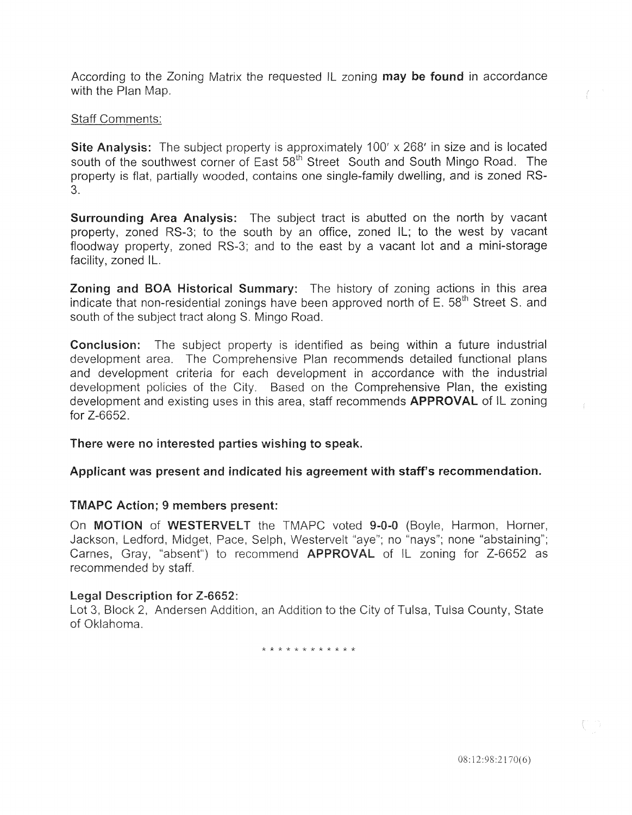According to the Zoning Matrix the requested IL zoning **may be found** in accordance with the Plan Map.

## Staff Comments:

Site Analysis: The subject property is approximately 100' x 268' in size and is located south of the southwest corner of East 58<sup>th</sup> Street South and South Mingo Road. The property is flat, partially wooded, contains one single-family dwelling, and is zoned RS-3.

Surrounding Area Analysis: The subject tract is abutted on the north by vacant property, zoned RS-3; to the south by an office, zoned IL; to the west by vacant floodway property, zoned RS-3; and to the east by a vacant lot and a mini-storage facility, zoned IL.

Zoning and BOA Historical Summary: The history of zoning actions in this area indicate that non-residential zonings have been approved north of E. 58<sup>th</sup> Street S. and south of the subject tract along S. Mingo Road.

Conclusion: The subject property is identified as being within a future industrial development area. The Comprehensive Plan recommends detailed functional plans and development criteria for each development in accordance with the industrial development policies of the City. Based on the Comprehensive Plan, the existing development and existing uses in this area, staff recommends **APPROVAL** of IL zoning for Z-6652.

There were no interested parties wishing to speak.

Applicant was present and indicated his agreement with staff's recommendation.

## TMAPC Action; 9 members present:

On MOTION of WESTERVELT the TMAPC voted 9-0-0 (Boyle, Harmon, Horner, Jackson, Ledford, Midget, Pace, Selph, Westervelt "ave"; no "nays"; none "abstaining"; Carnes, Gray, "absent") to recommend **APPROVAL** of IL zoning for Z-6652 as recommended by staff.

#### Legal Description for Z-6652:

Lot 3, Block 2, Andersen Addition, an Addition to the City of Tulsa, Tulsa County, State of Oklahoma.

\*\* \*\*\*\* \*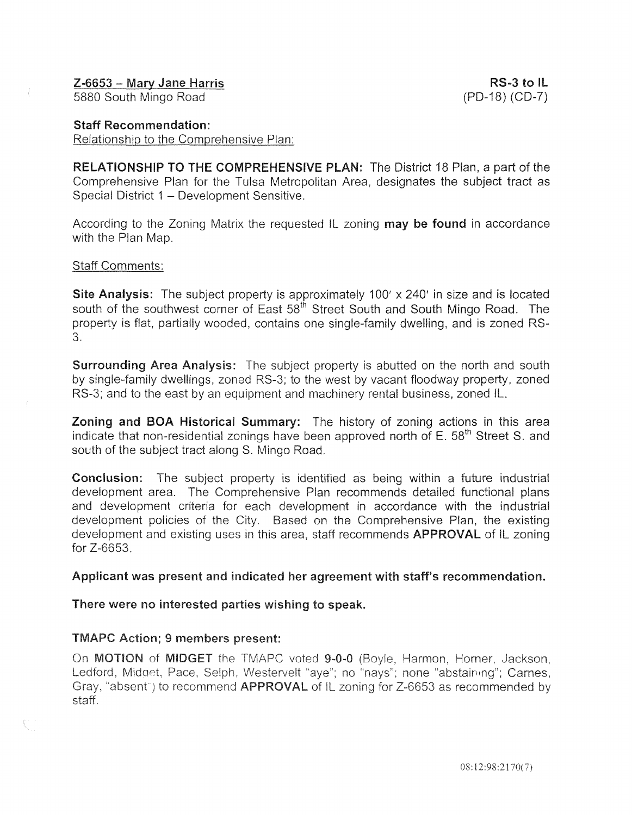#### Staff Recommendation:

Relationship to the Comprehensive Plan:

RELATIONSHIP TO THE COMPREHENSIVE PLAN: The District 18 Plan, a part of the Comprehensive Plan for the Tulsa Metropolitan Area, designates the subject tract as Special District 1 - Development Sensitive.

According to the Zoning Matrix the requested IL zoning may be found in accordance with the Plan Map.

#### Staff Comments:

**Site Analysis:** The subject property is approximately 100' x 240' in size and is located south of the southwest corner of East 58<sup>th</sup> Street South and South Mingo Road. The property is flat, partially wooded, contains one single-family dwelling, and is zoned RS-3.

**Surrounding Area Analysis:** The subject property is abutted on the north and south by single-family dwellings, zoned RS-3; to the west by vacant floodway property, zoned RS-3; and to the east by an equipment and machinery rental business, zoned IL.

Zoning and BOA Historical Summary: The history of zoning actions in this area indicate that non-residential zonings have been approved north of E. 58<sup>th</sup> Street S. and south of the subject tract along S. Mingo Road.

Conclusion: The subject property is identified as being within a future industrial development area. The Comprehensive Plan recommends detailed functional plans and development criteria for each development in accordance with the industrial development policies of the City. Based on the Comprehensive Plan, the existing development and existing uses in this area, staff recommends **APPROVAL** of IL zoning for Z-6653.

#### Applicant was present and indicated her agreement with staff's recommendation.

There were no interested parties wishing to speak.

#### TMAPC Action; 9 members present:

On MOTION of MIDGET the TMAPC voted 9-0-0 (Boyle, Harmon, Horner, Jackson, Ledford, Midget, Pace, Selph, Westervelt "aye"; no "nays"; none "abstaining"; Carnes, Gray, "absent") to recommend APPROVAL of IL zoning for Z-6653 as recommended by staff.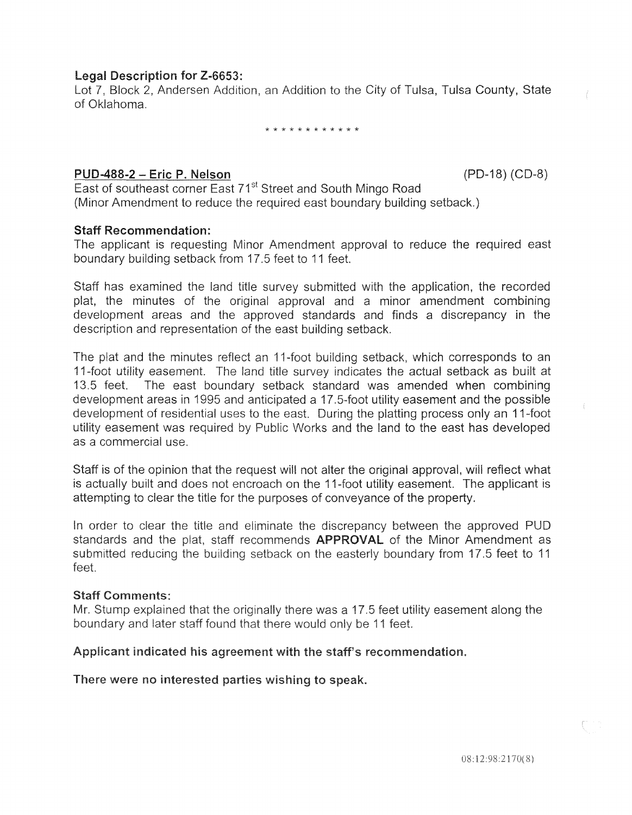## Legal Description for Z-6653:

7, Block 2, Andersen Addition, an Addition to the City of Tulsa, Tulsa County, State of Oklahoma.

\* \* \* \* \* \* \* \* \* \* \* \*

## PUD-488-2- Eric P. Nelson (PD-18) (CD-8)

East of southeast corner East 71<sup>st</sup> Street and South Mingo Road (Minor Amendment to reduce the required east boundary building setback.)

## Staff Recommendation:

The applicant is requesting Minor Amendment approval to reduce the required east boundary building setback from 17.5 feet to 11 feet.

Staff has examined the land title survey submitted with the application, the recorded plat, the minutes of the original approval and a minor amendment combining development areas and the approved standards and finds a discrepancy in the description and representation of the east building setback.

The plat and the minutes reflect an 11-foot building setback, which corresponds to an 11-foot utility easement. The land title survey indicates the actual setback as built at 13.5 feet. The east boundary setback standard was amended when combining development areas in 1995 and anticipated a 17 .5-foot utility easement and the possible development of residential uses to the east. During the platting process only an 11-foot utility easement was required by Public Works and the land to the east has developed as a commercial use.

Staff is of the opinion that the request will not alter the original approvai, wili refiect what is actually built and does not encroach on the 11-foot utility easement. The applicant is attempting to clear the title for the purposes of conveyance of the property.

In order to clear the title and eliminate the discrepancy between the approved PUD standards and the plat, staff recommends APPROVAL of the Minor Amendment as submitted reducing the building setback on the easterly boundary from 17.5 feet to 11 feet.

#### **Staff Comments:**

Mr. Stump explained that the originally there was a 17.5 feet utility easement along the boundary and later staff found that there would only be 11 feet.

#### Applicant indicated his agreement with the staff's recommendation.

There were no interested parties wishing to speak.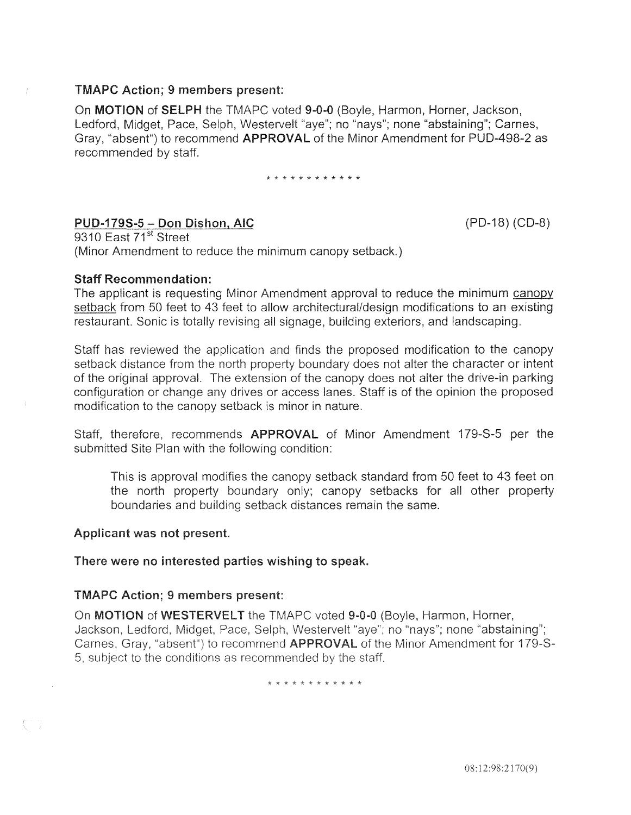#### TMAPC Action; 9 members present:

On MOTION of SELPH the TMAPC voted 9-0-0 (Boyle, Harmon, Horner, Jackson, Ledford, Midget, Pace, Selph, Westervelt "aye"; no "nays"; none "abstaining"; Carnes, Gray, "absent") to recommend APPROVAL of the Minor Amendment for PUD-498-2 as recommended by staff.

\* \* \* \* \* \* \* \* \* \* \* \*

## PUD-179S-5- Don Dishon, AIC

(PD-18) (CD-8)

9310 East 71<sup>st</sup> Street (Minor Amendment to reduce the minimum canopy setback.)

#### Staff Recommendation:

The applicant is requesting Minor Amendment approval to reduce the minimum canopy setback from 50 feet to 43 feet to allow architectural/design modifications to an existing restaurant. Sonic is totally revising all signage, building exteriors, and landscaping.

Staff has reviewed the application and finds the proposed modification to the canopy setback distance from the north property boundary does not alter the character or intent of the original approval. The extension of the canopy does not alter the drive-in parking configuration or change any drives or access lanes. Staff is of the opinion the proposed modification to the canopy setback is minor in nature.

Staff, therefore, recommends APPROVAL of Minor Amendment 179-S-5 per the submitted Site Plan with the following condition:

This is approval modifies the canopy setback standard from 50 feet to 43 feet on the north property boundary only; canopy setbacks for all other property boundaries and building setback distances remain the same.

#### Applicant was not present.

Q.

There were no interested parties wishing to speak.

#### TMAPC Action; 9 members present:

On MOTION of WESTERVELT the TMAPC voted 9-0-0 (Boyle, Harmon, Horner, Jackson, Ledford, Midget, Pace, Selph, Westervelt "aye"; no "nays"; none "abstaining"; Carnes, Gray, "absent") to recommend APPROVAL of the Minor Amendment for 179-S-5, subject to the conditions as recommended by the staff.

\* \* \* \* \* \* \* \* \* \* \*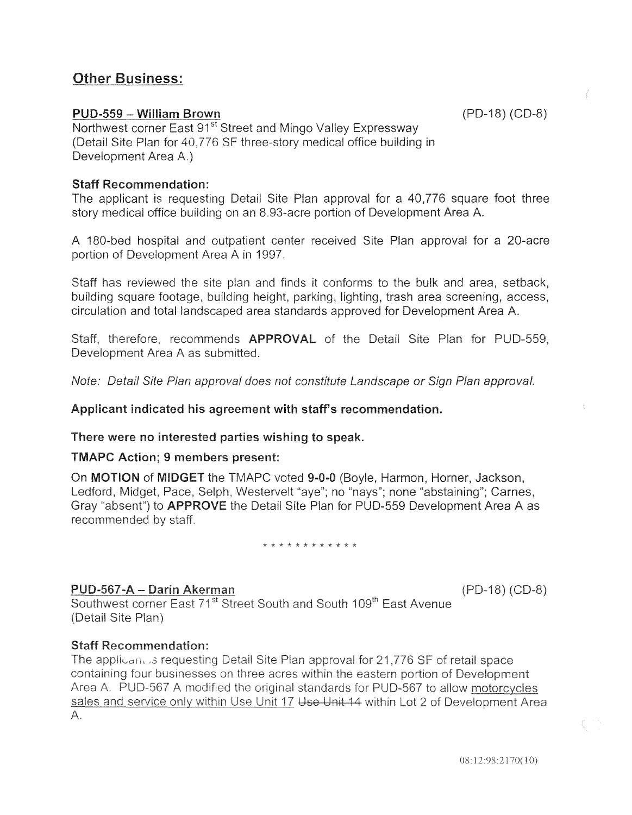# Other Business:

## PUD-559 - William Brown

(PD-18) (CD-8)

Northwest corner East 91<sup>st</sup> Street and Mingo Valley Expressway (Detail Site Plan for 40,776 SF three-story medical office building in Development Area A.)

## Staff Recommendation:

The applicant is requesting Detail Site Plan approval for a 40,776 square foot three story medical office building on an 8.93-acre portion of Development Area A.

A 180-bed hospital and outpatient center received Site Plan approval for a 20-acre portion of Development Area A in 1997.

Staff has reviewed the site plan and finds it conforms to the bulk and area, setback, building square footage, building height, parking, lighting, trash area screening, access, circulation and total landscaped area standards approved for Development Area

Staff, therefore, recommends APPROVAL of the Detail Site Plan for PUD-559, Development Area A as submitted.

Note: Detail Site Plan approval does not constitute Landscape or Sign Plan approval.

#### Applicant indicated his agreement with staff's recommendation.

#### There were no interested parties wishing to speak.

#### TMAPC Action; 9 members present:

On MOTION of MIDGET the TMAPC voted 9-0-0 (Boyle, Harmon, Horner, Jackson, Ledford, Midget, Pace, Selph, Westervelt "aye"; no "nays"; none "abstaining"; Carnes, Gray "absent") to **APPROVE** the Detail Site Plan for PUD-559 Development Area A as recommended by staff.

\* \* \* \* \* \* \* \* \* \* \* \*

## PUD-567-A - Darin Akerman

(PD-18) (CD-8)

Southwest corner East 71<sup>st</sup> Street South and South 109<sup>th</sup> East Avenue (Detail Site Plan)

#### **Staff Recommendation:**

The applicant is requesting Detail Site Plan approval for 21,776 SF of retail space containing four businesses on three acres within the eastern portion of Development Area A. PUD-567 A modified the original standards for PUD-567 to allow motorcycles sales and service only within Use Unit 17 Use Unit 14 within Lot 2 of Development Area  $A_{\cdot}$ 

 $08:12:98:2170(10)$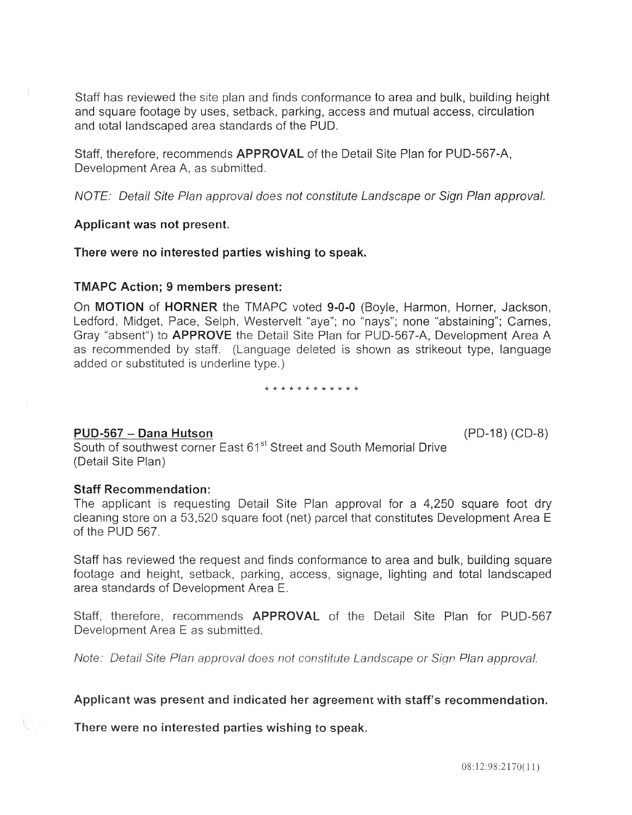Staff has reviewed the site plan and finds conformance to area and bulk, building height and square footage by uses, setback, parking, access and mutual access, circulation and total landscaped area standards of the PUD.

Staff, therefore, recommends APPROVAL of the Detail Site Plan for PUD-567-A, Development Area A, as submitted.

NOTE: Detail Site Plan approval does not constitute Landscape or Sign Plan approval.

#### Applicant was not present.

#### There were no interested parties wishing to speak.

#### TMAPC Action; 9 members present:

On MOTION of HORNER the TMAPC voted 9-0-0 (Boyle, Harmon, Horner, Jackson, Ledford, Midget, Pace, Selph, Westervelt "aye"; no "nays"; none "abstaining"; Carnes, Gray "absent") to APPROVE the Detail Site Plan for PUD-567-A, Development Area A as recommended by staff. (Language deleted is shown as strikeout type, language added or substituted is underline type.)

#### \* \* \* \* \* \* \* \* \* \* \* \*

#### PUD-567 - Dana Hutson

South of southwest corner East 61<sup>st</sup> Street and South Memorial Drive (Detail Site Plan)

#### Staff Recommendation:

The applicant is requesting Detail Site Plan approval for a 4,250 square foot dry cleaning store on a 53,520 square foot (net) parcel that constitutes Development Area E of the PUD 567.

the request and finds conformance to area and bulk, building square height, setback, parking, access, signage, lighting and total landscaped area standards of Development

Staff, therefore, recommends **APPROVAL** of the Detail Site Plan for PUD-567 Development Area E as submitted.

Note: Detail Site Plan approval does not constitute Landscape or Sign Plan approval.

#### Applicant was present and indicated her agreement with staff's recommendation.

were no interested parties wishing to

(PD-18) (CD-8)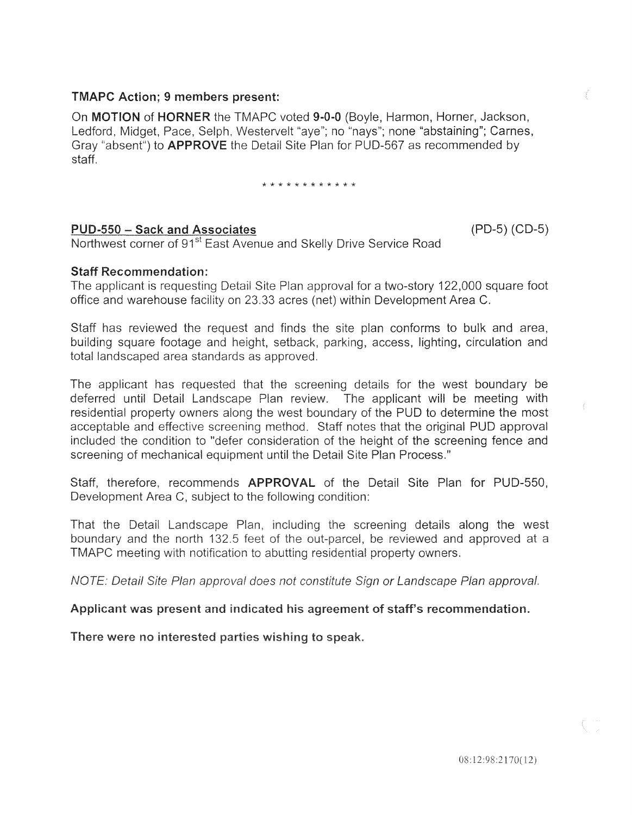## TMAPC Action; 9 members present:

On MOTION of HORNER the TMAPC voted 9-0-0 (Boyle, Harmon, Horner, Jackson, Ledford, Midget, Pace, Selph, Westervelt "aye"; no "nays"; none "abstaining"; Carnes, Gray "absent") to **APPROVE** the Detail Site Plan for PUD-567 as recommended by staff

\* \* \* \* \* \* \* \* \* \* \* \*

## PUD-550- Sack and Associates (PD-5) (CD-5)

Northwest corner of 91<sup>st</sup> East Avenue and Skelly Drive Service Road

## Staff Recommendation:

applicant is requesting Detail Site Plan approval for a two-story 122,000 square foot office and warehouse facility on 23.33 acres (net) within Development Area C.

Staff has reviewed the request and finds the site plan conforms to bulk and area, ilding square footage and height, setback, parking, access, lighting, circulation and total landscaped area standards as approved.

The applicant has requested that the screening details for the west boundary be deferred until Detail Landscape Plan review. The applicant will be meeting with residential property owners along the west boundary of the PUD to determine the most acceptable and effective screening method. Staff notes that the original PUD approval included the condition to "defer consideration of the height of the screening fence and screening of mechanical equipment until the Detail Site Plan Process."

Staff, therefore, recommends APPROVAL of the Detail Site Plan for PUD-550, Development Area C, subject to the following condition:

That the Detail Landscape Plan, including the screening details along the west boundary and the north 132.5 feet of the out-parcel, be reviewed and approved at a TMAPC meeting with notification to abutting residential property owners.

NOTE: Detail Site Plan approval does not constitute Sign or Landscape Plan approval.

#### Applicant was present and indicated his agreement of staff's recommendation.

There were no interested parties wishing to speak.